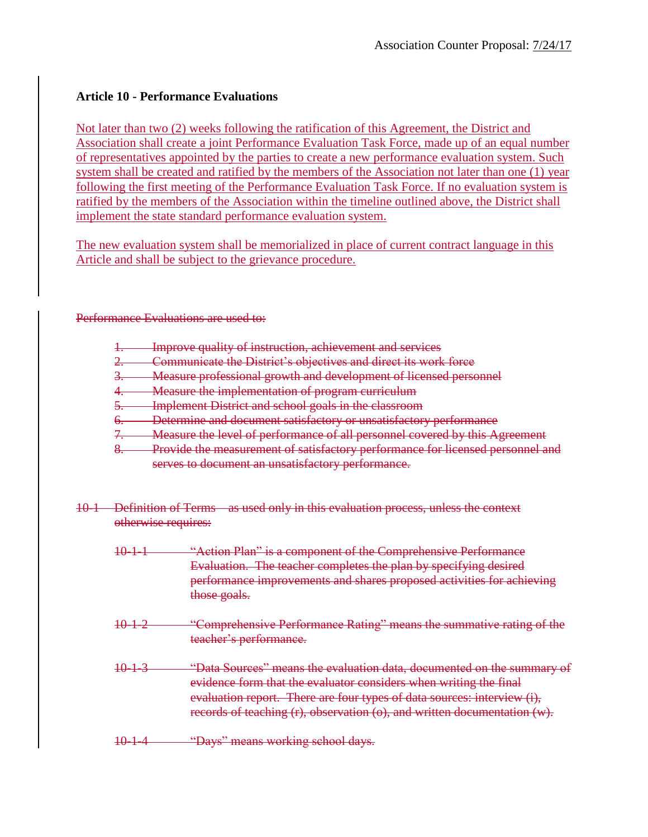# **Article 10 - Performance Evaluations**

Not later than two (2) weeks following the ratification of this Agreement, the District and Association shall create a joint Performance Evaluation Task Force, made up of an equal number of representatives appointed by the parties to create a new performance evaluation system. Such system shall be created and ratified by the members of the Association not later than one (1) year following the first meeting of the Performance Evaluation Task Force. If no evaluation system is ratified by the members of the Association within the timeline outlined above, the District shall implement the state standard performance evaluation system.

The new evaluation system shall be memorialized in place of current contract language in this Article and shall be subject to the grievance procedure.

Performance Evaluations are used to:

- 1. Improve quality of instruction, achievement and services
- 2. Communicate the District's objectives and direct its work force
- 3. Measure professional growth and development of licensed personnel
- 4. Measure the implementation of program curriculum
- 5. Implement District and school goals in the classroom
- 6. Determine and document satisfactory or unsatisfactory performance
- 7. Measure the level of performance of all personnel covered by this Agreement
- 8. Provide the measurement of satisfactory performance for licensed personnel and serves to document an unsatisfactory performance.
- 10-1 Definition of Terms as used only in this evaluation process, unless the context otherwise requires:
	- 10-1-1 "Action Plan" is a component of the Comprehensive Performance Evaluation. The teacher completes the plan by specifying desired performance improvements and shares proposed activities for achieving those goals.
	- 10-1-2 "Comprehensive Performance Rating" means the summative rating of the teacher's performance.
	- 10-1-3 "Data Sources" means the evaluation data, documented on the summary of evidence form that the evaluator considers when writing the final evaluation report. There are four types of data sources: interview (i), records of teaching (r), observation (o), and written documentation (w).
	- 10-1-4 "Days" means working school days.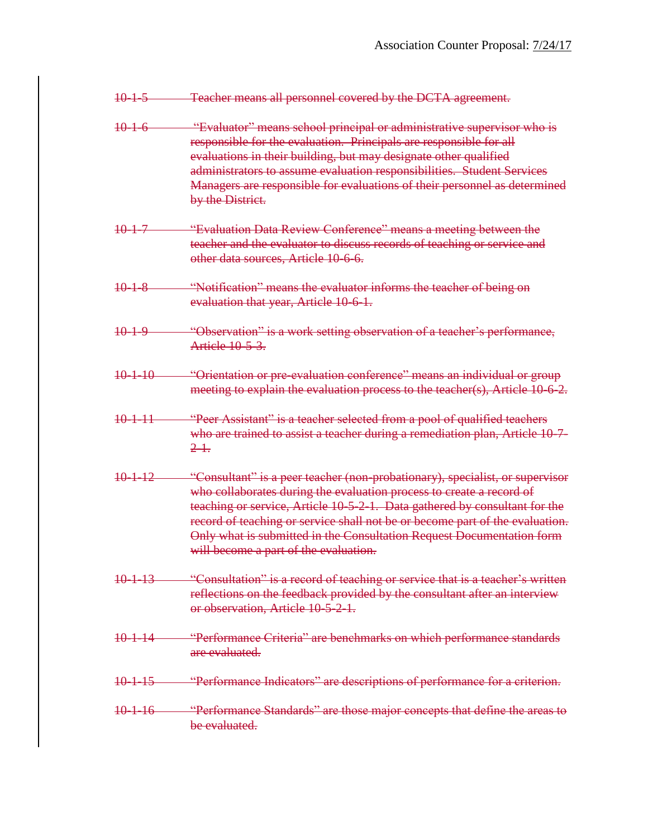- 10-1-5 Teacher means all personnel covered by the DCTA agreement.
- 10-1-6 "Evaluator" means school principal or administrative supervisor who is responsible for the evaluation. Principals are responsible for all evaluations in their building, but may designate other qualified administrators to assume evaluation responsibilities. Student Services Managers are responsible for evaluations of their personnel as determined by the District.
- 10-1-7 "Evaluation Data Review Conference" means a meeting between the teacher and the evaluator to discuss records of teaching or service and other data sources, Article 10-6-6.
- 10-1-8 "Notification" means the evaluator informs the teacher of being on evaluation that year, Article 10-6-1.
- 10-1-9 "Observation" is a work setting observation of a teacher's performance, Article 10-5-3.
- 10-1-10 "Orientation or pre-evaluation conference" means an individual or group meeting to explain the evaluation process to the teacher(s), Article 10-6-2.
- 10-1-11 "Peer Assistant" is a teacher selected from a pool of qualified teachers who are trained to assist a teacher during a remediation plan, Article 10-7-2-1.
- 10-1-12 "Consultant" is a peer teacher (non-probationary), specialist, or supervisor who collaborates during the evaluation process to create a record of teaching or service, Article 10-5-2-1. Data gathered by consultant for the record of teaching or service shall not be or become part of the evaluation. Only what is submitted in the Consultation Request Documentation form will become a part of the evaluation.
- 10-1-13 "Consultation" is a record of teaching or service that is a teacher's written reflections on the feedback provided by the consultant after an interview or observation, Article 10-5-2-1.
- 10-1-14 "Performance Criteria" are benchmarks on which performance standards are evaluated.
- 10-1-15 "Performance Indicators" are descriptions of performance for a criterion.
- 10-1-16 "Performance Standards" are those major concepts that define the areas to be evaluated.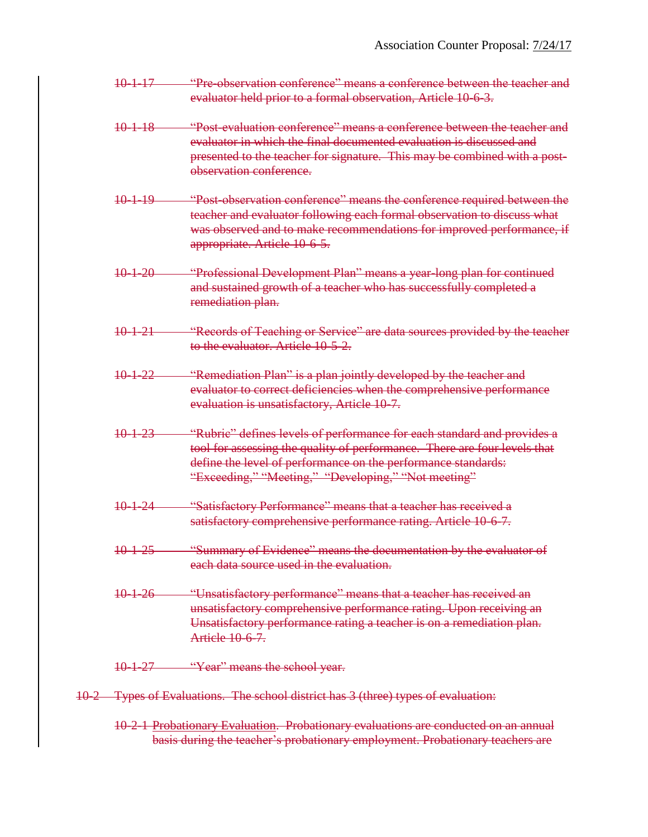- 10-1-17 "Pre-observation conference" means a conference between the teacher and evaluator held prior to a formal observation, Article 10-6-3.
- 10-1-18 "Post-evaluation conference" means a conference between the teacher and evaluator in which the final documented evaluation is discussed and presented to the teacher for signature. This may be combined with a postobservation conference.
- 10-1-19 "Post-observation conference" means the conference required between the teacher and evaluator following each formal observation to discuss what was observed and to make recommendations for improved performance, if appropriate. Article 10-6-5.
- 10-1-20 "Professional Development Plan" means a year-long plan for continued and sustained growth of a teacher who has successfully completed a remediation plan.
- 10-1-21 "Records of Teaching or Service" are data sources provided by the teacher to the evaluator. Article 10-5-2.
- 10-1-22 "Remediation Plan" is a plan jointly developed by the teacher and evaluator to correct deficiencies when the comprehensive performance evaluation is unsatisfactory, Article 10-7.
- 10-1-23 "Rubric" defines levels of performance for each standard and provides a tool for assessing the quality of performance. There are four levels that define the level of performance on the performance standards: "Exceeding," "Meeting," "Developing," "Not meeting"
- 10-1-24 "Satisfactory Performance" means that a teacher has received a satisfactory comprehensive performance rating. Article 10-6-7.
- 10-1-25 "Summary of Evidence" means the documentation by the evaluator of each data source used in the evaluation.
- 10-1-26 "Unsatisfactory performance" means that a teacher has received an unsatisfactory comprehensive performance rating. Upon receiving an Unsatisfactory performance rating a teacher is on a remediation plan. Article 10-6-7.

10-1-27 "Year" means the school year.

- 10-2 Types of Evaluations. The school district has 3 (three) types of evaluation:
	- 10-2-1 Probationary Evaluation. Probationary evaluations are conducted on an annual basis during the teacher's probationary employment. Probationary teachers are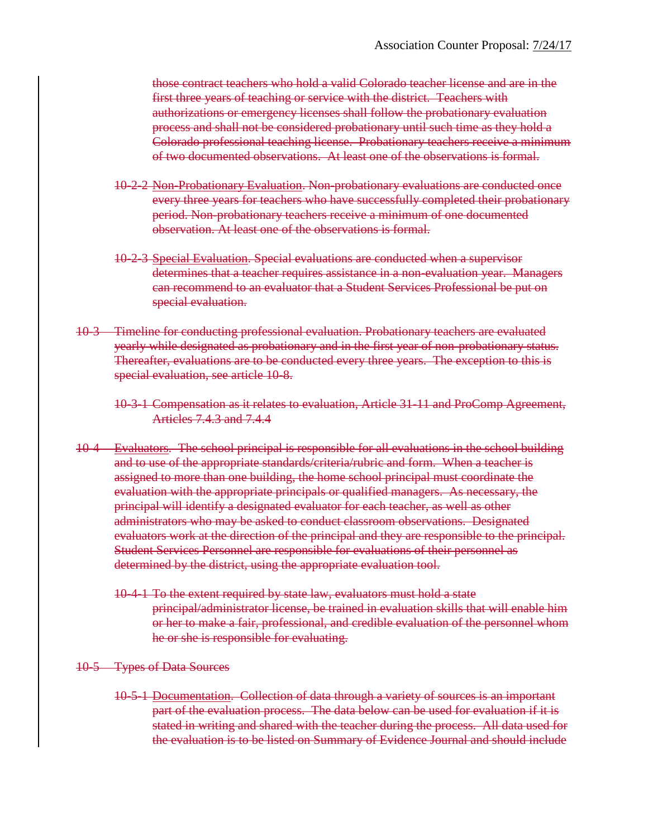those contract teachers who hold a valid Colorado teacher license and are in the first three years of teaching or service with the district. Teachers with authorizations or emergency licenses shall follow the probationary evaluation process and shall not be considered probationary until such time as they hold a Colorado professional teaching license. Probationary teachers receive a minimum of two documented observations. At least one of the observations is formal.

- 10-2-2 Non-Probationary Evaluation. Non-probationary evaluations are conducted once every three years for teachers who have successfully completed their probationary period. Non-probationary teachers receive a minimum of one documented observation. At least one of the observations is formal.
- 10-2-3 Special Evaluation. Special evaluations are conducted when a supervisor determines that a teacher requires assistance in a non-evaluation year. Managers can recommend to an evaluator that a Student Services Professional be put on special evaluation.
- 10-3 Timeline for conducting professional evaluation. Probationary teachers are evaluated yearly while designated as probationary and in the first year of non-probationary status. Thereafter, evaluations are to be conducted every three years. The exception to this is special evaluation, see article 10-8.
	- 10-3-1 Compensation as it relates to evaluation, Article 31-11 and ProComp Agreement, Articles 7.4.3 and 7.4.4
- 10-4 Evaluators. The school principal is responsible for all evaluations in the school building and to use of the appropriate standards/criteria/rubric and form. When a teacher is assigned to more than one building, the home school principal must coordinate the evaluation with the appropriate principals or qualified managers. As necessary, the principal will identify a designated evaluator for each teacher, as well as other administrators who may be asked to conduct classroom observations. Designated evaluators work at the direction of the principal and they are responsible to the principal. Student Services Personnel are responsible for evaluations of their personnel as determined by the district, using the appropriate evaluation tool.
	- 10-4-1 To the extent required by state law, evaluators must hold a state principal/administrator license, be trained in evaluation skills that will enable him or her to make a fair, professional, and credible evaluation of the personnel whom he or she is responsible for evaluating.
- 10-5 Types of Data Sources
	- 10-5-1 Documentation. Collection of data through a variety of sources is an important part of the evaluation process. The data below can be used for evaluation if it is stated in writing and shared with the teacher during the process. All data used for the evaluation is to be listed on Summary of Evidence Journal and should include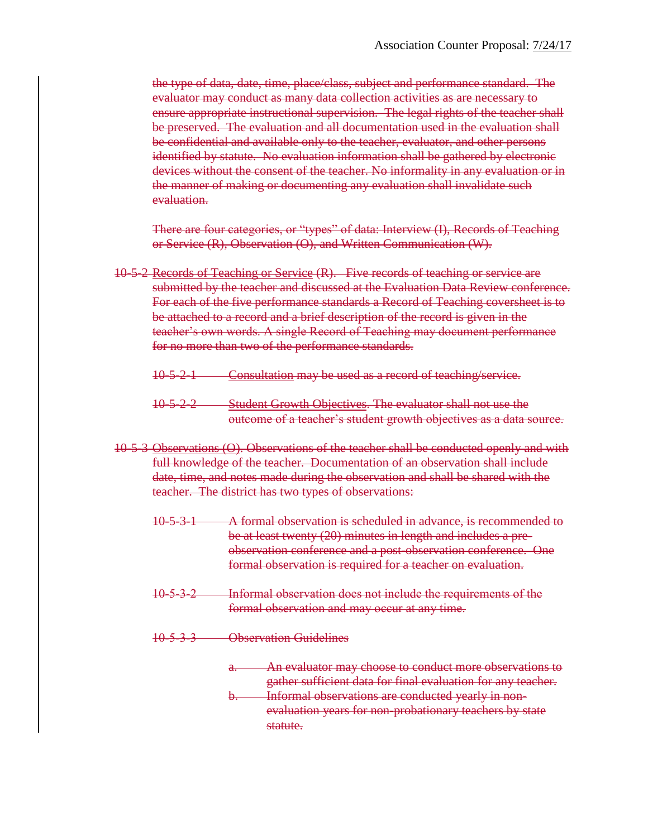the type of data, date, time, place/class, subject and performance standard. The evaluator may conduct as many data collection activities as are necessary to ensure appropriate instructional supervision. The legal rights of the teacher shall be preserved. The evaluation and all documentation used in the evaluation shall be confidential and available only to the teacher, evaluator, and other persons identified by statute. No evaluation information shall be gathered by electronic devices without the consent of the teacher. No informality in any evaluation or in the manner of making or documenting any evaluation shall invalidate such evaluation.

There are four categories, or "types" of data: Interview (I), Records of Teaching or Service (R), Observation (O), and Written Communication (W).

- 10-5-2 Records of Teaching or Service (R). Five records of teaching or service are submitted by the teacher and discussed at the Evaluation Data Review conference. For each of the five performance standards a Record of Teaching coversheet is to be attached to a record and a brief description of the record is given in the teacher's own words. A single Record of Teaching may document performance for no more than two of the performance standards.
	- 10-5-2-1 Consultation may be used as a record of teaching/service.
	- 10-5-2-2 Student Growth Objectives. The evaluator shall not use the outcome of a teacher's student growth objectives as a data source.
- 10-5-3 Observations (O). Observations of the teacher shall be conducted openly and with full knowledge of the teacher. Documentation of an observation shall include date, time, and notes made during the observation and shall be shared with the teacher. The district has two types of observations:
	- 10-5-3-1 A formal observation is scheduled in advance, is recommended to be at least twenty (20) minutes in length and includes a preobservation conference and a post-observation conference. One formal observation is required for a teacher on evaluation.
	- 10-5-3-2 Informal observation does not include the requirements of the formal observation and may occur at any time.
	- 10-5-3-3 Observation Guidelines
		- a. An evaluator may choose to conduct more observations to gather sufficient data for final evaluation for any teacher.
		- b. Informal observations are conducted yearly in nonevaluation years for non-probationary teachers by state statute.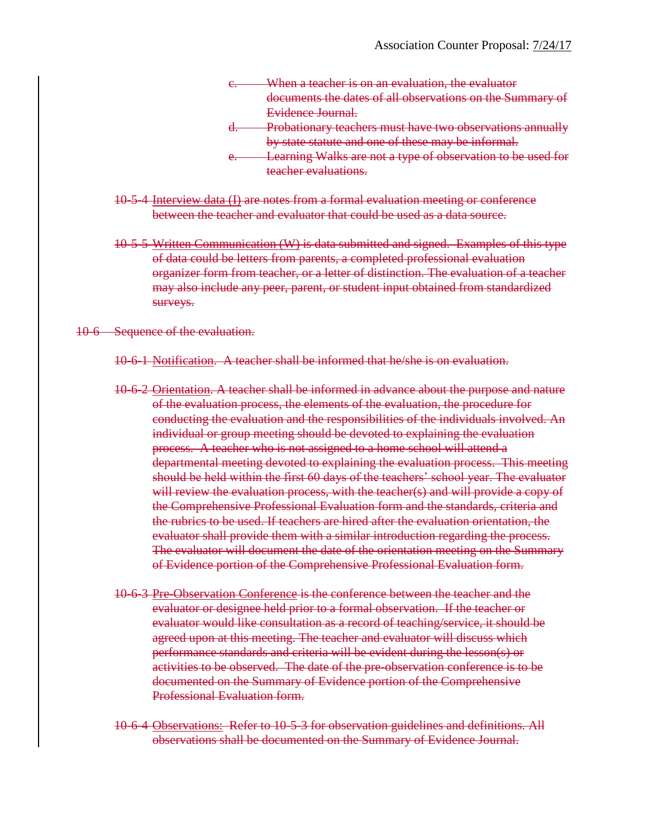| When a teacher is on an evaluation, the evaluator           |
|-------------------------------------------------------------|
| documents the dates of all observations on the Summary of   |
| Evidence Journal.                                           |
| Probationary teachers must have two observations annually   |
| by state statute and one of these may be informal.          |
| Learning Walks are not a type of observation to be used for |
| teacher evaluations.                                        |

- 10-5-4 Interview data (I) are notes from a formal evaluation meeting or conference between the teacher and evaluator that could be used as a data source.
- 10-5-5 Written Communication (W) is data submitted and signed. Examples of this type of data could be letters from parents, a completed professional evaluation organizer form from teacher, or a letter of distinction. The evaluation of a teacher may also include any peer, parent, or student input obtained from standardized surveys.

#### 10-6 Sequence of the evaluation.

- 10-6-1 Notification. A teacher shall be informed that he/she is on evaluation.
- 10-6-2 Orientation. A teacher shall be informed in advance about the purpose and nature of the evaluation process, the elements of the evaluation, the procedure for conducting the evaluation and the responsibilities of the individuals involved. An individual or group meeting should be devoted to explaining the evaluation process. A teacher who is not assigned to a home school will attend a departmental meeting devoted to explaining the evaluation process. This meeting should be held within the first 60 days of the teachers' school year. The evaluator will review the evaluation process, with the teacher(s) and will provide a copy of the Comprehensive Professional Evaluation form and the standards, criteria and the rubrics to be used. If teachers are hired after the evaluation orientation, the evaluator shall provide them with a similar introduction regarding the process. The evaluator will document the date of the orientation meeting on the Summary of Evidence portion of the Comprehensive Professional Evaluation form.
- 10-6-3 Pre-Observation Conference is the conference between the teacher and the evaluator or designee held prior to a formal observation. If the teacher or evaluator would like consultation as a record of teaching/service, it should be agreed upon at this meeting. The teacher and evaluator will discuss which performance standards and criteria will be evident during the lesson(s) or activities to be observed. The date of the pre-observation conference is to be documented on the Summary of Evidence portion of the Comprehensive Professional Evaluation form.
- 10-6-4 Observations: Refer to 10-5-3 for observation guidelines and definitions. All observations shall be documented on the Summary of Evidence Journal.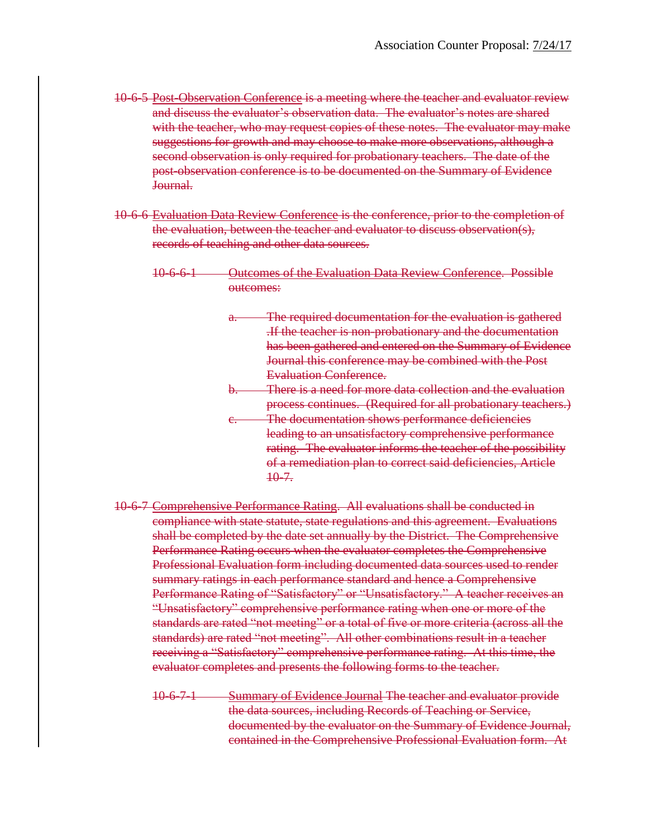- 10-6-5 Post-Observation Conference is a meeting where the teacher and evaluator review and discuss the evaluator's observation data. The evaluator's notes are shared with the teacher, who may request copies of these notes. The evaluator may make suggestions for growth and may choose to make more observations, although a second observation is only required for probationary teachers. The date of the post-observation conference is to be documented on the Summary of Evidence Journal.
- 10-6-6 Evaluation Data Review Conference is the conference, prior to the completion of the evaluation, between the teacher and evaluator to discuss observation(s), records of teaching and other data sources.
	- 10-6-6-1 Outcomes of the Evaluation Data Review Conference. Possible outcomes:
		- a. The required documentation for the evaluation is gathered .If the teacher is non-probationary and the documentation has been gathered and entered on the Summary of Evidence Journal this conference may be combined with the Post Evaluation Conference.
		- b. There is a need for more data collection and the evaluation process continues. (Required for all probationary teachers.) c. The documentation shows performance deficiencies leading to an unsatisfactory comprehensive performance
			- rating. The evaluator informs the teacher of the possibility of a remediation plan to correct said deficiencies, Article  $10 - 7.$
- 10-6-7 Comprehensive Performance Rating. All evaluations shall be conducted in compliance with state statute, state regulations and this agreement. Evaluations shall be completed by the date set annually by the District. The Comprehensive Performance Rating occurs when the evaluator completes the Comprehensive Professional Evaluation form including documented data sources used to render summary ratings in each performance standard and hence a Comprehensive Performance Rating of "Satisfactory" or "Unsatisfactory." A teacher receives an "Unsatisfactory" comprehensive performance rating when one or more of the standards are rated "not meeting" or a total of five or more criteria (across all the standards) are rated "not meeting". All other combinations result in a teacher receiving a "Satisfactory" comprehensive performance rating. At this time, the evaluator completes and presents the following forms to the teacher.
	- 10-6-7-1 Summary of Evidence Journal The teacher and evaluator provide the data sources, including Records of Teaching or Service, documented by the evaluator on the Summary of Evidence Journal, contained in the Comprehensive Professional Evaluation form. At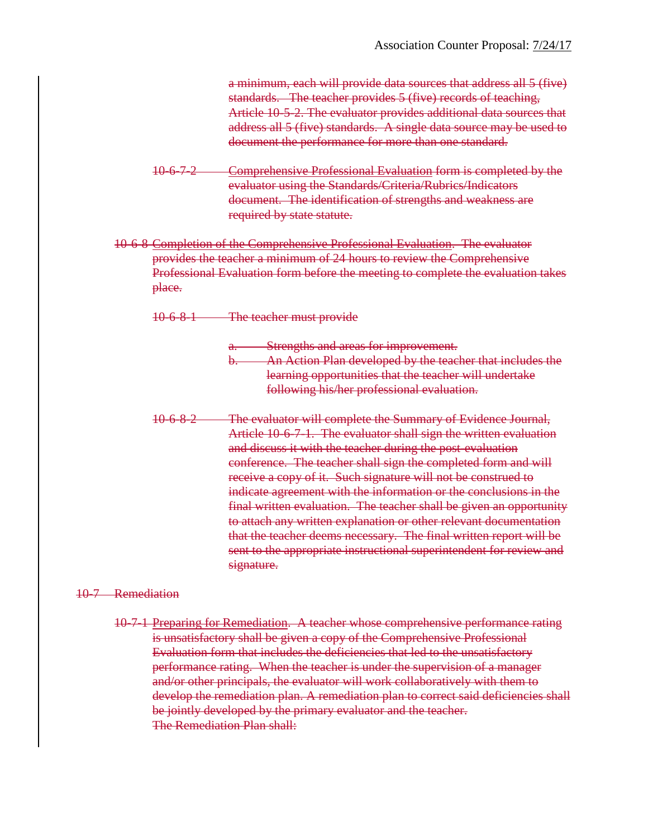a minimum, each will provide data sources that address all 5 (five) standards. The teacher provides 5 (five) records of teaching, Article 10-5-2. The evaluator provides additional data sources that address all 5 (five) standards. A single data source may be used to document the performance for more than one standard.

- 10-6-7-2 Comprehensive Professional Evaluation form is completed by the evaluator using the Standards/Criteria/Rubrics/Indicators document. The identification of strengths and weakness are required by state statute.
- 10-6-8 Completion of the Comprehensive Professional Evaluation. The evaluator provides the teacher a minimum of 24 hours to review the Comprehensive Professional Evaluation form before the meeting to complete the evaluation takes place.
	- 10-6-8-1 The teacher must provide
		- a. Strengths and areas for improvement. b. An Action Plan developed by the teacher that includes the learning opportunities that the teacher will undertake following his/her professional evaluation.
	- 10-6-8-2 The evaluator will complete the Summary of Evidence Journal, Article 10-6-7-1. The evaluator shall sign the written evaluation and discuss it with the teacher during the post-evaluation conference. The teacher shall sign the completed form and will receive a copy of it. Such signature will not be construed to indicate agreement with the information or the conclusions in the final written evaluation. The teacher shall be given an opportunity to attach any written explanation or other relevant documentation that the teacher deems necessary. The final written report will be sent to the appropriate instructional superintendent for review and signature.

#### 10-7 Remediation

10-7-1 Preparing for Remediation. A teacher whose comprehensive performance rating is unsatisfactory shall be given a copy of the Comprehensive Professional Evaluation form that includes the deficiencies that led to the unsatisfactory performance rating. When the teacher is under the supervision of a manager and/or other principals, the evaluator will work collaboratively with them to develop the remediation plan. A remediation plan to correct said deficiencies shall be jointly developed by the primary evaluator and the teacher. The Remediation Plan shall: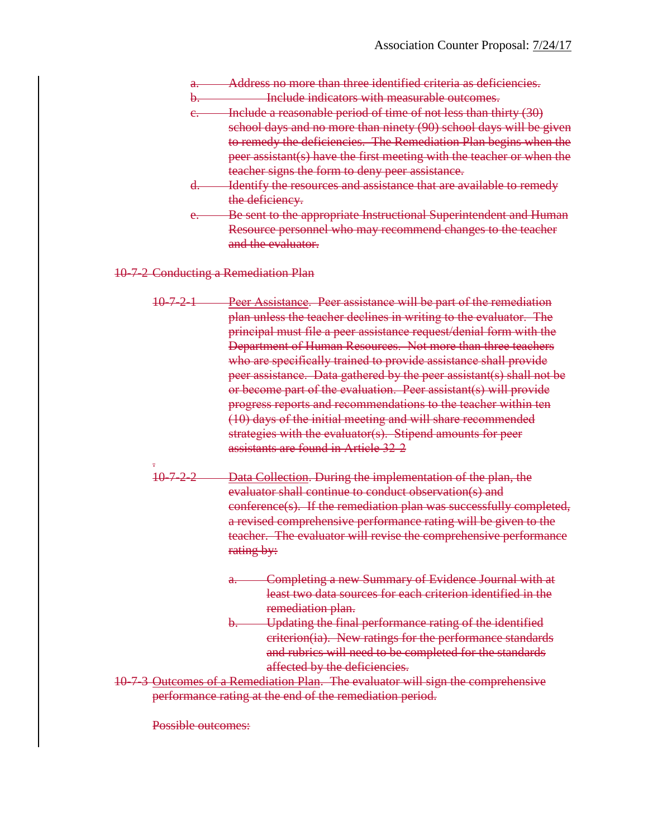- Address no more than three identified criteria as deficiencies.
- b. **Include indicators with measurable outcomes.**
- c. Include a reasonable period of time of not less than thirty (30)

school days and no more than ninety (90) school days will be given to remedy the deficiencies. The Remediation Plan begins when the peer assistant(s) have the first meeting with the teacher or when the teacher signs the form to deny peer assistance.

- d. Identify the resources and assistance that are available to remedy the deficiency.
- e. Be sent to the appropriate Instructional Superintendent and Human Resource personnel who may recommend changes to the teacher and the evaluator.

10-7-2 Conducting a Remediation Plan

- 10-7-2-1 Peer Assistance. Peer assistance will be part of the remediation plan unless the teacher declines in writing to the evaluator. The principal must file a peer assistance request/denial form with the Department of Human Resources. Not more than three teachers who are specifically trained to provide assistance shall provide peer assistance. Data gathered by the peer assistant(s) shall not be or become part of the evaluation. Peer assistant(s) will provide progress reports and recommendations to the teacher within ten (10) days of the initial meeting and will share recommended strategies with the evaluator(s). Stipend amounts for peer assistants are found in Article 32-2
- . 10-7-2-2 Data Collection. During the implementation of the plan, the evaluator shall continue to conduct observation(s) and conference(s). If the remediation plan was successfully completed, a revised comprehensive performance rating will be given to the teacher. The evaluator will revise the comprehensive performance rating by:
	- Completing a new Summary of Evidence Journal with at least two data sources for each criterion identified in the remediation plan.
	- b. Updating the final performance rating of the identified criterion(ia). New ratings for the performance standards and rubrics will need to be completed for the standards affected by the deficiencies.
- 10-7-3 Outcomes of a Remediation Plan. The evaluator will sign the comprehensive performance rating at the end of the remediation period.

Possible outcomes: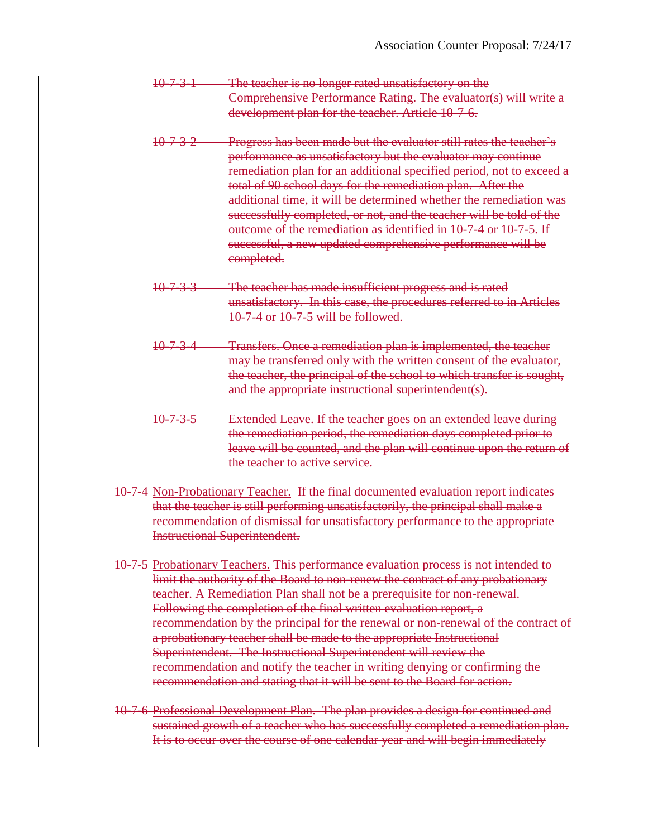- 10-7-3-1 The teacher is no longer rated unsatisfactory on the Comprehensive Performance Rating. The evaluator(s) will write a development plan for the teacher. Article 10-7-6.
- 10-7-3-2 Progress has been made but the evaluator still rates the teacher's performance as unsatisfactory but the evaluator may continue remediation plan for an additional specified period, not to exceed a total of 90 school days for the remediation plan. After the additional time, it will be determined whether the remediation was successfully completed, or not, and the teacher will be told of the outcome of the remediation as identified in 10-7-4 or 10-7-5. If successful, a new updated comprehensive performance will be completed.
- 10-7-3-3 The teacher has made insufficient progress and is rated unsatisfactory. In this case, the procedures referred to in Articles 10-7-4 or 10-7-5 will be followed.
- 10-7-3-4 Transfers. Once a remediation plan is implemented, the teacher may be transferred only with the written consent of the evaluator, the teacher, the principal of the school to which transfer is sought, and the appropriate instructional superintendent(s).
- 10-7-3-5 Extended Leave. If the teacher goes on an extended leave during the remediation period, the remediation days completed prior to leave will be counted, and the plan will continue upon the return of the teacher to active service.
- 10-7-4 Non-Probationary Teacher. If the final documented evaluation report indicates that the teacher is still performing unsatisfactorily, the principal shall make a recommendation of dismissal for unsatisfactory performance to the appropriate Instructional Superintendent.
- 10-7-5 Probationary Teachers. This performance evaluation process is not intended to limit the authority of the Board to non-renew the contract of any probationary teacher. A Remediation Plan shall not be a prerequisite for non-renewal. Following the completion of the final written evaluation report, a recommendation by the principal for the renewal or non-renewal of the contract of a probationary teacher shall be made to the appropriate Instructional Superintendent. The Instructional Superintendent will review the recommendation and notify the teacher in writing denying or confirming the recommendation and stating that it will be sent to the Board for action.
- 10-7-6 Professional Development Plan. The plan provides a design for continued and sustained growth of a teacher who has successfully completed a remediation plan. It is to occur over the course of one calendar year and will begin immediately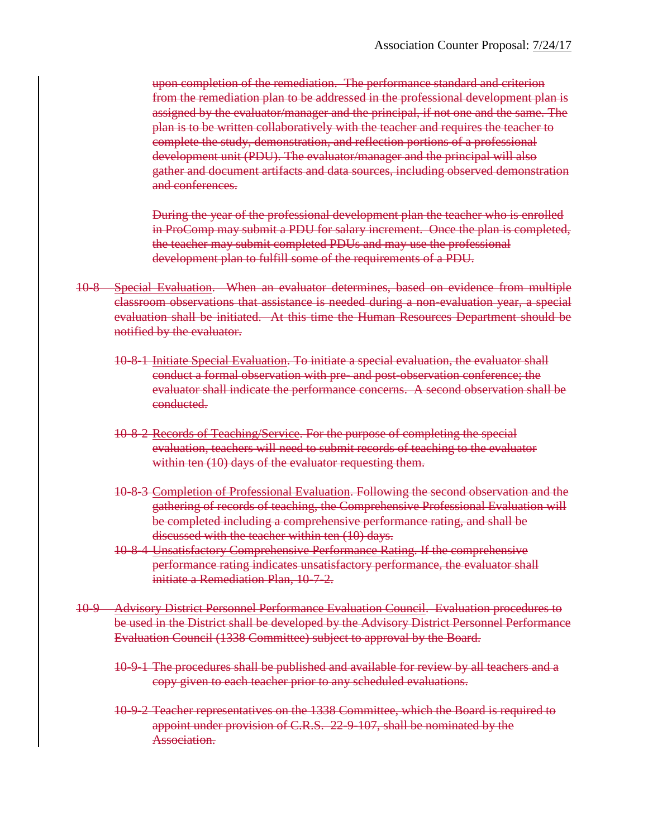upon completion of the remediation. The performance standard and criterion from the remediation plan to be addressed in the professional development plan is assigned by the evaluator/manager and the principal, if not one and the same. The plan is to be written collaboratively with the teacher and requires the teacher to complete the study, demonstration, and reflection portions of a professional development unit (PDU). The evaluator/manager and the principal will also gather and document artifacts and data sources, including observed demonstration and conferences.

During the year of the professional development plan the teacher who is enrolled in ProComp may submit a PDU for salary increment. Once the plan is completed, the teacher may submit completed PDUs and may use the professional development plan to fulfill some of the requirements of a PDU.

- 10-8 Special Evaluation. When an evaluator determines, based on evidence from multiple classroom observations that assistance is needed during a non-evaluation year, a special evaluation shall be initiated. At this time the Human Resources Department should be notified by the evaluator.
	- 10-8-1 Initiate Special Evaluation. To initiate a special evaluation, the evaluator shall conduct a formal observation with pre- and post-observation conference; the evaluator shall indicate the performance concerns. A second observation shall be conducted.
	- 10-8-2 Records of Teaching/Service. For the purpose of completing the special evaluation, teachers will need to submit records of teaching to the evaluator within ten (10) days of the evaluator requesting them.
	- 10-8-3 Completion of Professional Evaluation. Following the second observation and the gathering of records of teaching, the Comprehensive Professional Evaluation will be completed including a comprehensive performance rating, and shall be discussed with the teacher within ten (10) days.
	- 10-8-4 Unsatisfactory Comprehensive Performance Rating. If the comprehensive performance rating indicates unsatisfactory performance, the evaluator shall initiate a Remediation Plan, 10-7-2.
- 10-9 Advisory District Personnel Performance Evaluation Council. Evaluation procedures to be used in the District shall be developed by the Advisory District Personnel Performance Evaluation Council (1338 Committee) subject to approval by the Board.
	- 10-9-1 The procedures shall be published and available for review by all teachers and a copy given to each teacher prior to any scheduled evaluations.
	- 10-9-2 Teacher representatives on the 1338 Committee, which the Board is required to appoint under provision of C.R.S. 22-9-107, shall be nominated by the Association.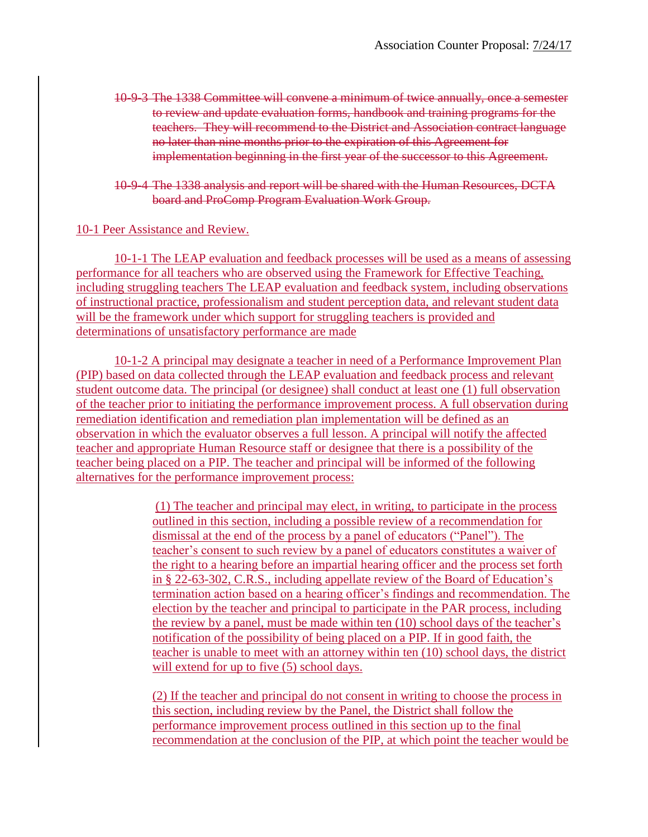- 10-9-3 The 1338 Committee will convene a minimum of twice annually, once a semester to review and update evaluation forms, handbook and training programs for the teachers. They will recommend to the District and Association contract language no later than nine months prior to the expiration of this Agreement for implementation beginning in the first year of the successor to this Agreement.
- 10-9-4 The 1338 analysis and report will be shared with the Human Resources, DCTA board and ProComp Program Evaluation Work Group.

## 10-1 Peer Assistance and Review.

10-1-1 The LEAP evaluation and feedback processes will be used as a means of assessing performance for all teachers who are observed using the Framework for Effective Teaching, including struggling teachers The LEAP evaluation and feedback system, including observations of instructional practice, professionalism and student perception data, and relevant student data will be the framework under which support for struggling teachers is provided and determinations of unsatisfactory performance are made

10-1-2 A principal may designate a teacher in need of a Performance Improvement Plan (PIP) based on data collected through the LEAP evaluation and feedback process and relevant student outcome data. The principal (or designee) shall conduct at least one (1) full observation of the teacher prior to initiating the performance improvement process. A full observation during remediation identification and remediation plan implementation will be defined as an observation in which the evaluator observes a full lesson. A principal will notify the affected teacher and appropriate Human Resource staff or designee that there is a possibility of the teacher being placed on a PIP. The teacher and principal will be informed of the following alternatives for the performance improvement process:

> (1) The teacher and principal may elect, in writing, to participate in the process outlined in this section, including a possible review of a recommendation for dismissal at the end of the process by a panel of educators ("Panel"). The teacher's consent to such review by a panel of educators constitutes a waiver of the right to a hearing before an impartial hearing officer and the process set forth in § 22-63-302, C.R.S., including appellate review of the Board of Education's termination action based on a hearing officer's findings and recommendation. The election by the teacher and principal to participate in the PAR process, including the review by a panel, must be made within ten (10) school days of the teacher's notification of the possibility of being placed on a PIP. If in good faith, the teacher is unable to meet with an attorney within ten (10) school days, the district will extend for up to five  $(5)$  school days.

> (2) If the teacher and principal do not consent in writing to choose the process in this section, including review by the Panel, the District shall follow the performance improvement process outlined in this section up to the final recommendation at the conclusion of the PIP, at which point the teacher would be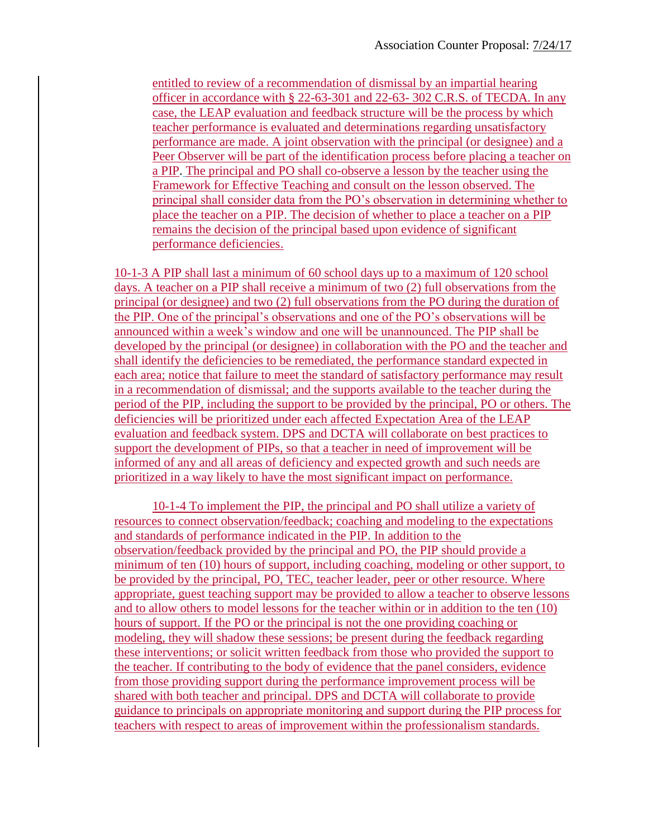entitled to review of a recommendation of dismissal by an impartial hearing officer in accordance with  $\S$  22-63-301 and 22-63-302 C.R.S. of TECDA. In any case, the LEAP evaluation and feedback structure will be the process by which teacher performance is evaluated and determinations regarding unsatisfactory performance are made. A joint observation with the principal (or designee) and a Peer Observer will be part of the identification process before placing a teacher on a PIP. The principal and PO shall co-observe a lesson by the teacher using the Framework for Effective Teaching and consult on the lesson observed. The principal shall consider data from the PO's observation in determining whether to place the teacher on a PIP. The decision of whether to place a teacher on a PIP remains the decision of the principal based upon evidence of significant performance deficiencies.

10-1-3 A PIP shall last a minimum of 60 school days up to a maximum of 120 school days. A teacher on a PIP shall receive a minimum of two (2) full observations from the principal (or designee) and two (2) full observations from the PO during the duration of the PIP. One of the principal's observations and one of the PO's observations will be announced within a week's window and one will be unannounced. The PIP shall be developed by the principal (or designee) in collaboration with the PO and the teacher and shall identify the deficiencies to be remediated, the performance standard expected in each area; notice that failure to meet the standard of satisfactory performance may result in a recommendation of dismissal; and the supports available to the teacher during the period of the PIP, including the support to be provided by the principal, PO or others. The deficiencies will be prioritized under each affected Expectation Area of the LEAP evaluation and feedback system. DPS and DCTA will collaborate on best practices to support the development of PIPs, so that a teacher in need of improvement will be informed of any and all areas of deficiency and expected growth and such needs are prioritized in a way likely to have the most significant impact on performance.

10-1-4 To implement the PIP, the principal and PO shall utilize a variety of resources to connect observation/feedback; coaching and modeling to the expectations and standards of performance indicated in the PIP. In addition to the observation/feedback provided by the principal and PO, the PIP should provide a minimum of ten (10) hours of support, including coaching, modeling or other support, to be provided by the principal, PO, TEC, teacher leader, peer or other resource. Where appropriate, guest teaching support may be provided to allow a teacher to observe lessons and to allow others to model lessons for the teacher within or in addition to the ten (10) hours of support. If the PO or the principal is not the one providing coaching or modeling, they will shadow these sessions; be present during the feedback regarding these interventions; or solicit written feedback from those who provided the support to the teacher. If contributing to the body of evidence that the panel considers, evidence from those providing support during the performance improvement process will be shared with both teacher and principal. DPS and DCTA will collaborate to provide guidance to principals on appropriate monitoring and support during the PIP process for teachers with respect to areas of improvement within the professionalism standards.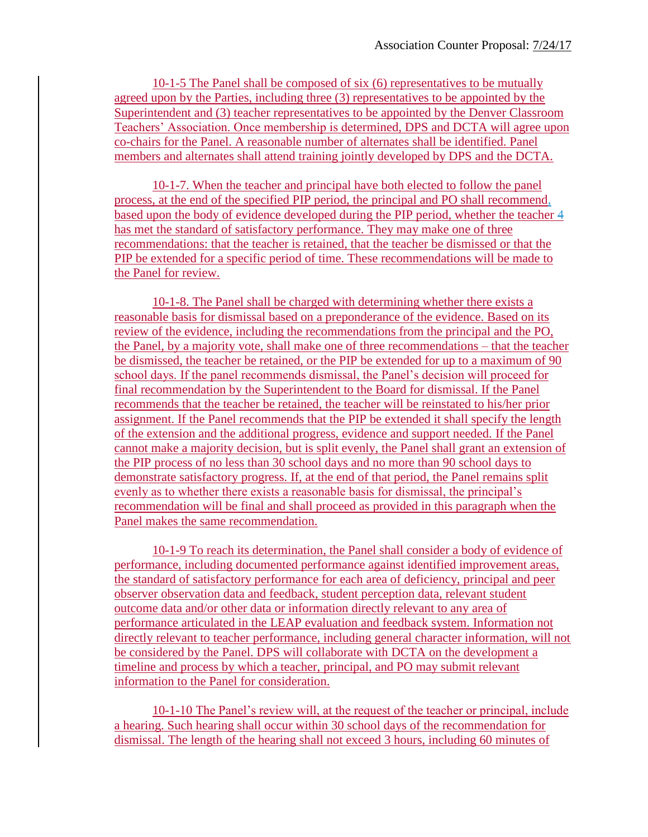10-1-5 The Panel shall be composed of six (6) representatives to be mutually agreed upon by the Parties, including three (3) representatives to be appointed by the Superintendent and (3) teacher representatives to be appointed by the Denver Classroom Teachers' Association. Once membership is determined, DPS and DCTA will agree upon co-chairs for the Panel. A reasonable number of alternates shall be identified. Panel members and alternates shall attend training jointly developed by DPS and the DCTA.

10-1-7. When the teacher and principal have both elected to follow the panel process, at the end of the specified PIP period, the principal and PO shall recommend, based upon the body of evidence developed during the PIP period, whether the teacher 4 has met the standard of satisfactory performance. They may make one of three recommendations: that the teacher is retained, that the teacher be dismissed or that the PIP be extended for a specific period of time. These recommendations will be made to the Panel for review.

10-1-8. The Panel shall be charged with determining whether there exists a reasonable basis for dismissal based on a preponderance of the evidence. Based on its review of the evidence, including the recommendations from the principal and the PO, the Panel, by a majority vote, shall make one of three recommendations – that the teacher be dismissed, the teacher be retained, or the PIP be extended for up to a maximum of 90 school days. If the panel recommends dismissal, the Panel's decision will proceed for final recommendation by the Superintendent to the Board for dismissal. If the Panel recommends that the teacher be retained, the teacher will be reinstated to his/her prior assignment. If the Panel recommends that the PIP be extended it shall specify the length of the extension and the additional progress, evidence and support needed. If the Panel cannot make a majority decision, but is split evenly, the Panel shall grant an extension of the PIP process of no less than 30 school days and no more than 90 school days to demonstrate satisfactory progress. If, at the end of that period, the Panel remains split evenly as to whether there exists a reasonable basis for dismissal, the principal's recommendation will be final and shall proceed as provided in this paragraph when the Panel makes the same recommendation.

10-1-9 To reach its determination, the Panel shall consider a body of evidence of performance, including documented performance against identified improvement areas, the standard of satisfactory performance for each area of deficiency, principal and peer observer observation data and feedback, student perception data, relevant student outcome data and/or other data or information directly relevant to any area of performance articulated in the LEAP evaluation and feedback system. Information not directly relevant to teacher performance, including general character information, will not be considered by the Panel. DPS will collaborate with DCTA on the development a timeline and process by which a teacher, principal, and PO may submit relevant information to the Panel for consideration.

10-1-10 The Panel's review will, at the request of the teacher or principal, include a hearing. Such hearing shall occur within 30 school days of the recommendation for dismissal. The length of the hearing shall not exceed 3 hours, including 60 minutes of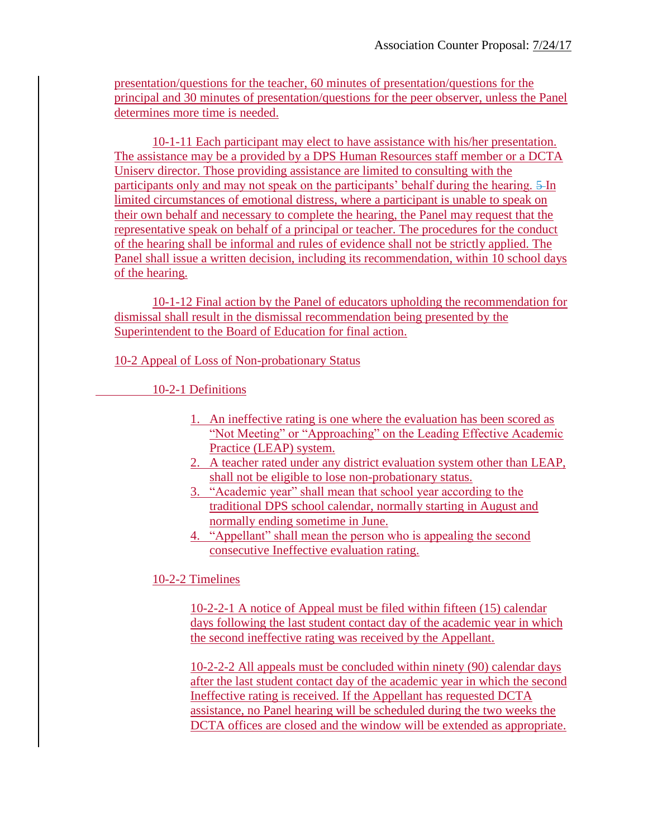presentation/questions for the teacher, 60 minutes of presentation/questions for the principal and 30 minutes of presentation/questions for the peer observer, unless the Panel determines more time is needed.

10-1-11 Each participant may elect to have assistance with his/her presentation. The assistance may be a provided by a DPS Human Resources staff member or a DCTA Uniserv director. Those providing assistance are limited to consulting with the participants only and may not speak on the participants' behalf during the hearing. 5-In limited circumstances of emotional distress, where a participant is unable to speak on their own behalf and necessary to complete the hearing, the Panel may request that the representative speak on behalf of a principal or teacher. The procedures for the conduct of the hearing shall be informal and rules of evidence shall not be strictly applied. The Panel shall issue a written decision, including its recommendation, within 10 school days of the hearing.

10-1-12 Final action by the Panel of educators upholding the recommendation for dismissal shall result in the dismissal recommendation being presented by the Superintendent to the Board of Education for final action.

10-2 Appeal of Loss of Non-probationary Status

10-2-1 Definitions

- 1. An ineffective rating is one where the evaluation has been scored as "Not Meeting" or "Approaching" on the Leading Effective Academic Practice (LEAP) system.
- 2. A teacher rated under any district evaluation system other than LEAP, shall not be eligible to lose non-probationary status.
- 3. "Academic year" shall mean that school year according to the traditional DPS school calendar, normally starting in August and normally ending sometime in June.
- 4. "Appellant" shall mean the person who is appealing the second consecutive Ineffective evaluation rating.

10-2-2 Timelines

10-2-2-1 A notice of Appeal must be filed within fifteen (15) calendar days following the last student contact day of the academic year in which the second ineffective rating was received by the Appellant.

10-2-2-2 All appeals must be concluded within ninety (90) calendar days after the last student contact day of the academic year in which the second Ineffective rating is received. If the Appellant has requested DCTA assistance, no Panel hearing will be scheduled during the two weeks the DCTA offices are closed and the window will be extended as appropriate.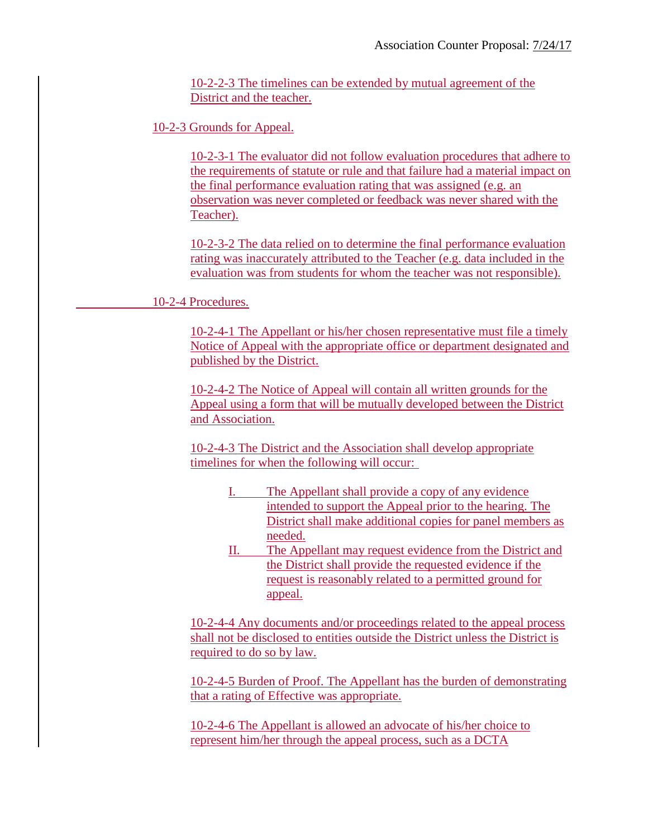10-2-2-3 The timelines can be extended by mutual agreement of the District and the teacher.

10-2-3 Grounds for Appeal.

10-2-3-1 The evaluator did not follow evaluation procedures that adhere to the requirements of statute or rule and that failure had a material impact on the final performance evaluation rating that was assigned (e.g. an observation was never completed or feedback was never shared with the Teacher).

10-2-3-2 The data relied on to determine the final performance evaluation rating was inaccurately attributed to the Teacher (e.g. data included in the evaluation was from students for whom the teacher was not responsible).

10-2-4 Procedures.

10-2-4-1 The Appellant or his/her chosen representative must file a timely Notice of Appeal with the appropriate office or department designated and published by the District.

10-2-4-2 The Notice of Appeal will contain all written grounds for the Appeal using a form that will be mutually developed between the District and Association.

10-2-4-3 The District and the Association shall develop appropriate timelines for when the following will occur:

- I. The Appellant shall provide a copy of any evidence intended to support the Appeal prior to the hearing. The District shall make additional copies for panel members as needed.
- II. The Appellant may request evidence from the District and the District shall provide the requested evidence if the request is reasonably related to a permitted ground for appeal.

10-2-4-4 Any documents and/or proceedings related to the appeal process shall not be disclosed to entities outside the District unless the District is required to do so by law.

10-2-4-5 Burden of Proof. The Appellant has the burden of demonstrating that a rating of Effective was appropriate.

10-2-4-6 The Appellant is allowed an advocate of his/her choice to represent him/her through the appeal process, such as a DCTA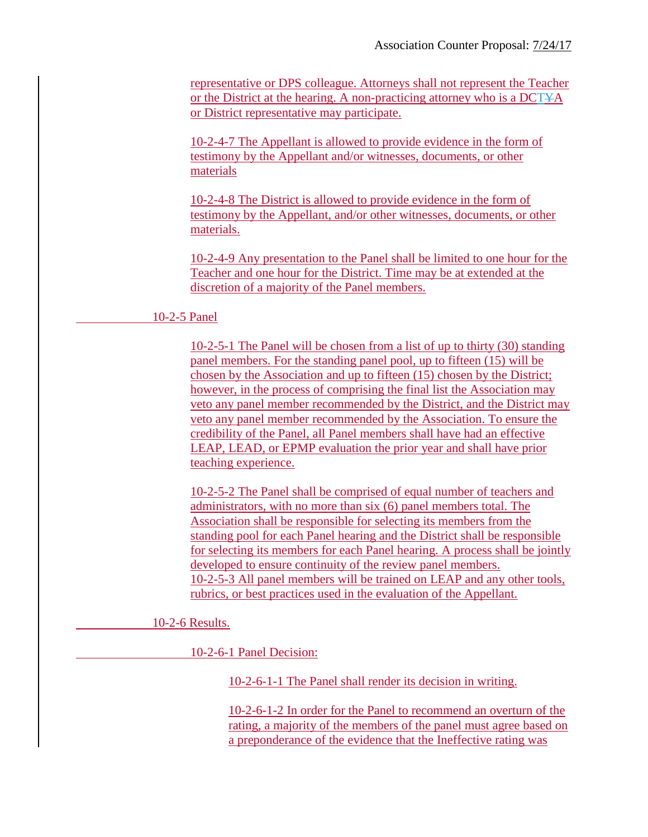representative or DPS colleague. Attorneys shall not represent the Teacher or the District at the hearing. A non-practicing attorney who is a DCTYA or District representative may participate.

10-2-4-7 The Appellant is allowed to provide evidence in the form of testimony by the Appellant and/or witnesses, documents, or other materials

10-2-4-8 The District is allowed to provide evidence in the form of testimony by the Appellant, and/or other witnesses, documents, or other materials.

10-2-4-9 Any presentation to the Panel shall be limited to one hour for the Teacher and one hour for the District. Time may be at extended at the discretion of a majority of the Panel members.

## 10-2-5 Panel

10-2-5-1 The Panel will be chosen from a list of up to thirty (30) standing panel members. For the standing panel pool, up to fifteen (15) will be chosen by the Association and up to fifteen (15) chosen by the District; however, in the process of comprising the final list the Association may veto any panel member recommended by the District, and the District may veto any panel member recommended by the Association. To ensure the credibility of the Panel, all Panel members shall have had an effective LEAP, LEAD, or EPMP evaluation the prior year and shall have prior teaching experience.

10-2-5-2 The Panel shall be comprised of equal number of teachers and administrators, with no more than six (6) panel members total. The Association shall be responsible for selecting its members from the standing pool for each Panel hearing and the District shall be responsible for selecting its members for each Panel hearing. A process shall be jointly developed to ensure continuity of the review panel members. 10-2-5-3 All panel members will be trained on LEAP and any other tools, rubrics, or best practices used in the evaluation of the Appellant.

10-2-6 Results.

10-2-6-1 Panel Decision:

10-2-6-1-1 The Panel shall render its decision in writing.

10-2-6-1-2 In order for the Panel to recommend an overturn of the rating, a majority of the members of the panel must agree based on a preponderance of the evidence that the Ineffective rating was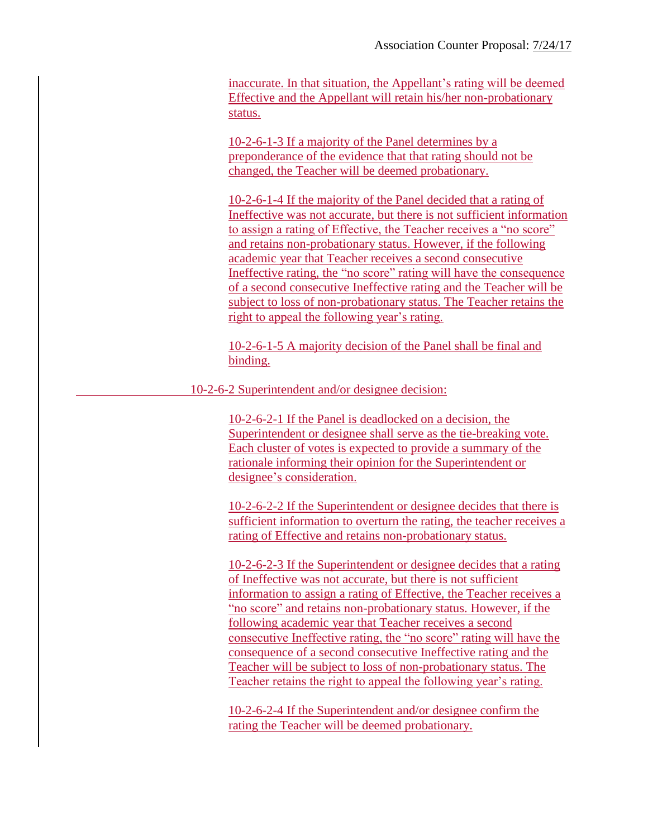inaccurate. In that situation, the Appellant's rating will be deemed Effective and the Appellant will retain his/her non-probationary status.

10-2-6-1-3 If a majority of the Panel determines by a preponderance of the evidence that that rating should not be changed, the Teacher will be deemed probationary.

10-2-6-1-4 If the majority of the Panel decided that a rating of Ineffective was not accurate, but there is not sufficient information to assign a rating of Effective, the Teacher receives a "no score" and retains non-probationary status. However, if the following academic year that Teacher receives a second consecutive Ineffective rating, the "no score" rating will have the consequence of a second consecutive Ineffective rating and the Teacher will be subject to loss of non-probationary status. The Teacher retains the right to appeal the following year's rating.

10-2-6-1-5 A majority decision of the Panel shall be final and binding.

10-2-6-2 Superintendent and/or designee decision:

10-2-6-2-1 If the Panel is deadlocked on a decision, the Superintendent or designee shall serve as the tie-breaking vote. Each cluster of votes is expected to provide a summary of the rationale informing their opinion for the Superintendent or designee's consideration.

10-2-6-2-2 If the Superintendent or designee decides that there is sufficient information to overturn the rating, the teacher receives a rating of Effective and retains non-probationary status.

10-2-6-2-3 If the Superintendent or designee decides that a rating of Ineffective was not accurate, but there is not sufficient information to assign a rating of Effective, the Teacher receives a "no score" and retains non-probationary status. However, if the following academic year that Teacher receives a second consecutive Ineffective rating, the "no score" rating will have the consequence of a second consecutive Ineffective rating and the Teacher will be subject to loss of non-probationary status. The Teacher retains the right to appeal the following year's rating.

10-2-6-2-4 If the Superintendent and/or designee confirm the rating the Teacher will be deemed probationary.